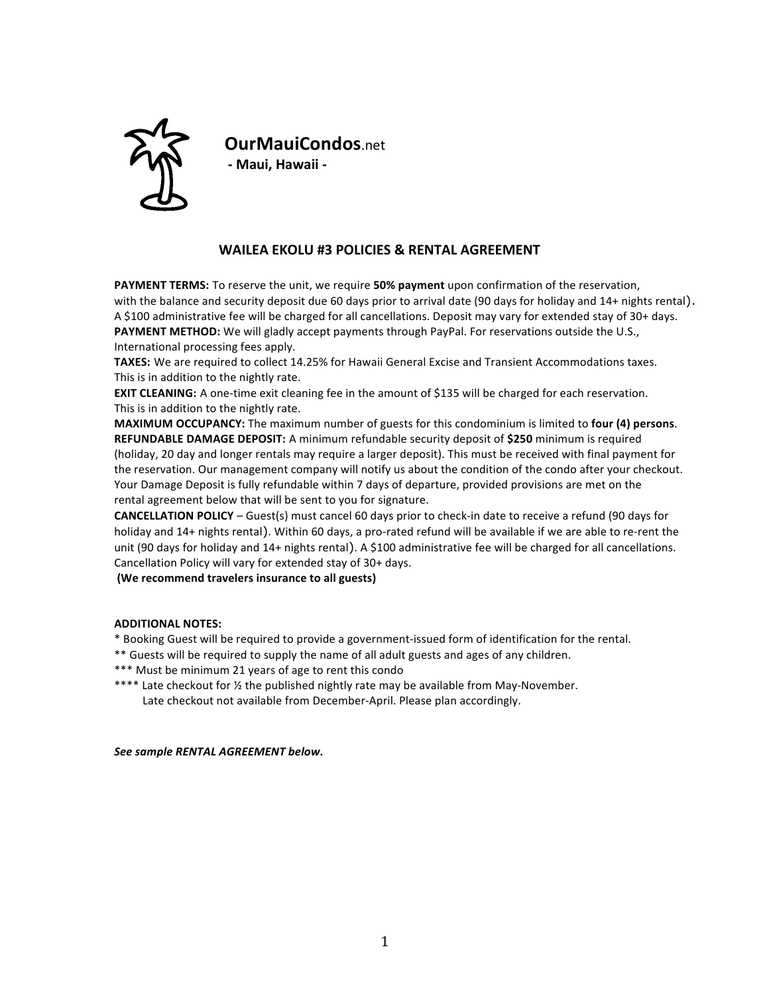

**OurMauiCondos**.net **- Maui, Hawaii -**

# **WAILEA EKOLU #3 POLICIES & RENTAL AGREEMENT**

**PAYMENT TERMS:** To reserve the unit, we require **50% payment** upon confirmation of the reservation, with the balance and security deposit due 60 days prior to arrival date  $(90 \text{ days for holiday and } 14 + \text{ nights rental}).$ A \$100 administrative fee will be charged for all cancellations. Deposit may vary for extended stay of 30+ days. **PAYMENT METHOD:** We will gladly accept payments through PayPal. For reservations outside the U.S., International processing fees apply.

**TAXES:** We are required to collect 14.25% for Hawaii General Excise and Transient Accommodations taxes. This is in addition to the nightly rate.

**EXIT CLEANING:** A one-time exit cleaning fee in the amount of \$135 will be charged for each reservation. This is in addition to the nightly rate.

**MAXIMUM OCCUPANCY:** The maximum number of guests for this condominium is limited to **four (4) persons. REFUNDABLE DAMAGE DEPOSIT:** A minimum refundable security deposit of \$250 minimum is required (holiday, 20 day and longer rentals may require a larger deposit). This must be received with final payment for the reservation. Our management company will notify us about the condition of the condo after your checkout. Your Damage Deposit is fully refundable within 7 days of departure, provided provisions are met on the rental agreement below that will be sent to you for signature.

**CANCELLATION POLICY** – Guest(s) must cancel 60 days prior to check-in date to receive a refund (90 days for holiday and 14+ nights rental). Within 60 days, a pro-rated refund will be available if we are able to re-rent the unit (90 days for holiday and 14+ nights rental). A \$100 administrative fee will be charged for all cancellations. Cancellation Policy will vary for extended stay of 30+ days.

## **(We recommend travelers insurance to all guests)**

#### **ADDITIONAL NOTES:**

\* Booking Guest will be required to provide a government-issued form of identification for the rental.

- \*\* Guests will be required to supply the name of all adult guests and ages of any children.
- \*\*\* Must be minimum 21 years of age to rent this condo
- \*\*\*\* Late checkout for 1/2 the published nightly rate may be available from May-November. Late checkout not available from December-April. Please plan accordingly.

*See sample RENTAL AGREEMENT below.*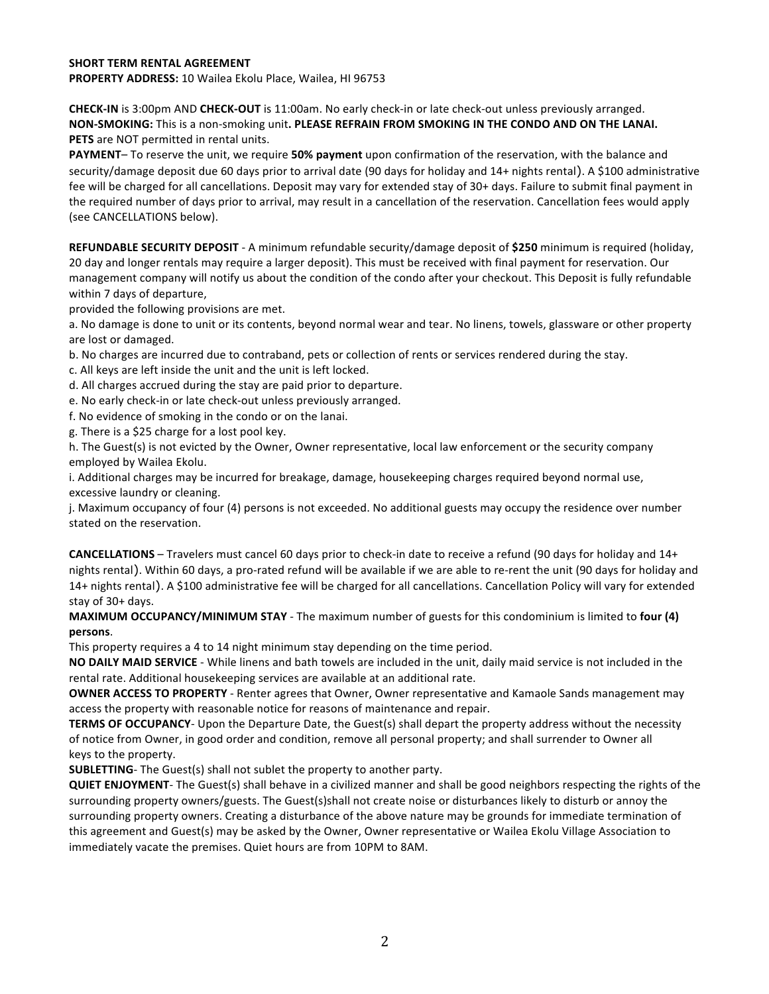## **SHORT TERM RENTAL AGREEMENT**

**PROPERTY ADDRESS:** 10 Wailea Ekolu Place, Wailea, HI 96753

**CHECK-IN** is 3:00pm AND **CHECK-OUT** is 11:00am. No early check-in or late check-out unless previously arranged. **NON-SMOKING:** This is a non-smoking unit. PLEASE REFRAIN FROM SMOKING IN THE CONDO AND ON THE LANAI. **PETS** are NOT permitted in rental units.

**PAYMENT**– To reserve the unit, we require **50% payment** upon confirmation of the reservation, with the balance and security/damage deposit due 60 days prior to arrival date (90 days for holiday and 14+ nights rental). A \$100 administrative fee will be charged for all cancellations. Deposit may vary for extended stay of 30+ days. Failure to submit final payment in the required number of days prior to arrival, may result in a cancellation of the reservation. Cancellation fees would apply (see CANCELLATIONS below).

**REFUNDABLE SECURITY DEPOSIT** - A minimum refundable security/damage deposit of \$250 minimum is required (holiday, 20 day and longer rentals may require a larger deposit). This must be received with final payment for reservation. Our management company will notify us about the condition of the condo after your checkout. This Deposit is fully refundable within 7 days of departure,

provided the following provisions are met.

a. No damage is done to unit or its contents, beyond normal wear and tear. No linens, towels, glassware or other property are lost or damaged.

b. No charges are incurred due to contraband, pets or collection of rents or services rendered during the stay.

- c. All keys are left inside the unit and the unit is left locked.
- d. All charges accrued during the stay are paid prior to departure.
- e. No early check-in or late check-out unless previously arranged.
- f. No evidence of smoking in the condo or on the lanai.
- g. There is a \$25 charge for a lost pool key.

h. The Guest(s) is not evicted by the Owner, Owner representative, local law enforcement or the security company employed by Wailea Ekolu.

i. Additional charges may be incurred for breakage, damage, housekeeping charges required beyond normal use, excessive laundry or cleaning.

j. Maximum occupancy of four (4) persons is not exceeded. No additional guests may occupy the residence over number stated on the reservation.

**CANCELLATIONS** – Travelers must cancel 60 days prior to check-in date to receive a refund (90 days for holiday and 14+ nights rental). Within 60 days, a pro-rated refund will be available if we are able to re-rent the unit (90 days for holiday and 14+ nights rental). A \$100 administrative fee will be charged for all cancellations. Cancellation Policy will vary for extended stay of 30+ days.

**MAXIMUM OCCUPANCY/MINIMUM STAY** - The maximum number of guests for this condominium is limited to four (4) **persons**. 

This property requires a 4 to 14 night minimum stay depending on the time period.

**NO DAILY MAID SERVICE** - While linens and bath towels are included in the unit, daily maid service is not included in the rental rate. Additional housekeeping services are available at an additional rate.

**OWNER ACCESS TO PROPERTY** - Renter agrees that Owner, Owner representative and Kamaole Sands management may access the property with reasonable notice for reasons of maintenance and repair.

**TERMS OF OCCUPANCY**- Upon the Departure Date, the Guest(s) shall depart the property address without the necessity of notice from Owner, in good order and condition, remove all personal property; and shall surrender to Owner all keys to the property.

**SUBLETTING**- The Guest(s) shall not sublet the property to another party.

**QUIET ENJOYMENT**- The Guest(s) shall behave in a civilized manner and shall be good neighbors respecting the rights of the surrounding property owners/guests. The Guest(s)shall not create noise or disturbances likely to disturb or annoy the surrounding property owners. Creating a disturbance of the above nature may be grounds for immediate termination of this agreement and Guest(s) may be asked by the Owner, Owner representative or Wailea Ekolu Village Association to immediately vacate the premises. Quiet hours are from 10PM to 8AM.